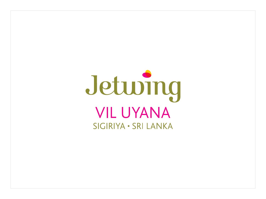# Jeturng **VIL UYANA** SIGIRIYA . SRI LANKA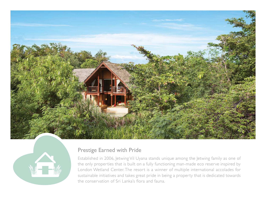



## Prestige Earned with Pride

Established in 2006, Jetwing Vil Uyana stands unique among the Jetwing family as one of the only properties that is built on a fully functioning man-made eco reserve inspired by London Wetland Center. The resort is a winner of multiple international accolades for sustainable initiatives and takes great pride in being a property that is dedicated towards the conservation of Sri Lanka's flora and fauna.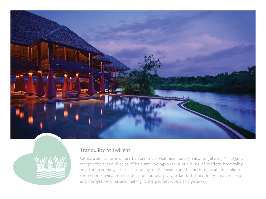



### Tranquility at Twilight

Celebrated as one of Sri Lanka's must visit eco luxury resorts, Jetwing Vil Uyana merges the tranquil calm of its surroundings with subtle hints of modern hospitality and the trimmings that accompany it. A flagship in the architectural portfolio of renowned environmental designer Sunela Jayawardane, the property stretches out and merges with nature, making it the perfect woodland getaway.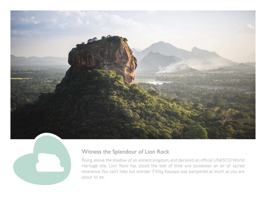



# Witness the Splendour of Lion Rock

Rising above the shadow of an ancient kingdom, and declared an official UNESCO World Heritage site, Lion Rock has stood the test of time and possesses an air of sacred reverence. You can't help but wonder if King Kasyapa was pampered as much as you are about to be.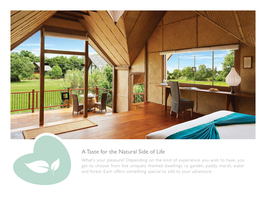



# A Taste for the Natural Side of Life

What's your pleasure? Depending on the kind of experience you wish to have, you get to choose from five uniquely themed dwellings i.e garden, paddy, marsh, water and forest. Each offers something special to add to your adventure.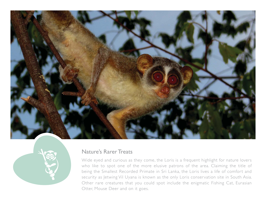



#### Nature's Rarer Treats

Wide eyed and curious as they come, the Loris is a frequent highlight for nature lovers who like to spot one of the more elusive patrons of the area. Claiming the title of being the Smallest Recorded Primate in Sri Lanka, the Loris lives a life of comfort and security as Jetwing Vil Uyana is known as the only Loris conservation site in South Asia. Other rare creatures that you could spot include the enigmatic Fishing Cat, Eurasian Otter, Mouse Deer and on it goes.